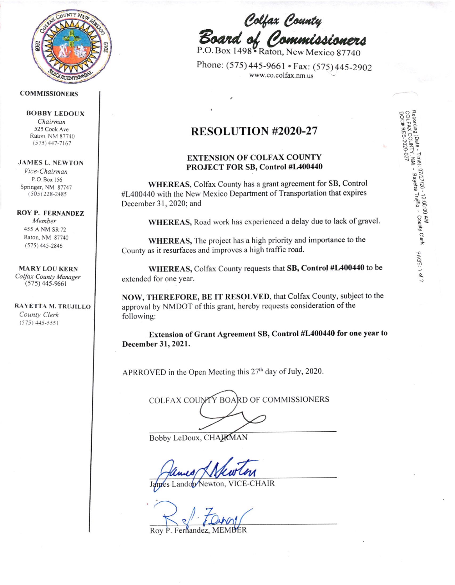

### **COMMISSIONERS**

**BOBBY LEDOUX** Chairman 525 Cook Ave

Raton, NM 87740  $(575)$  447-7167

# **JAMES L. NEWTON**

Vice-Chairman P.O. Box 156 Springer, NM 87747  $(505)$  228-2485

## **ROY P. FERNANDEZ**

Member 455 A NM SR 72 Raton, NM 87740  $(575)$  445-2846

#### **MARY LOU KERN**

Colfax County Manager  $(575)$  445-9661

RAYETTA M. TRUJILLO County Clerk  $(575)$  445-5551

Colfax County<br>Board of Commissioners

Phone: (575) 445-9661 • Fax: (575) 445-2902 www.co.colfax.nm.us

Recording (Date - Time): 07/27/20 - 12:00:00 AM<br>Recording (Date - Time): 07/27/20<br>DOC# RES-2020-027<br>DOC# RES-2020-027

PAGE: 1 of 2

# RESOLUTION #2020-27

# **EXTENSION OF COLFAX COUNTY** PROJECT FOR SB, Control #L400440

WHEREAS, Colfax County has a grant agreement for SB, Control #L400440 with the New Mexico Department of Transportation that expires December 31, 2020; and

WHEREAS, Road work has experienced a delay due to lack of gravel.

WHEREAS, The project has a high priority and importance to the County as it resurfaces and improves a high traffic road.

WHEREAS, Colfax County requests that SB, Control #L400440 to be extended for one year.

NOW, THEREFORE, BE IT RESOLVED, that Colfax County, subject to the approval by NMDOT of this grant, hereby requests consideration of the following:

Extension of Grant Agreement SB, Control #L400440 for one year to December 31, 2021.

APRROVED in the Open Meeting this 27<sup>th</sup> day of July, 2020.

| COLFAX COUNTY BOARD OF COMMISSIONERS |  |
|--------------------------------------|--|
|                                      |  |
|                                      |  |

Bobby LeDoux, CHAJRMAN

**VICE-CHAIR** ando Jewton.

Fernandez,